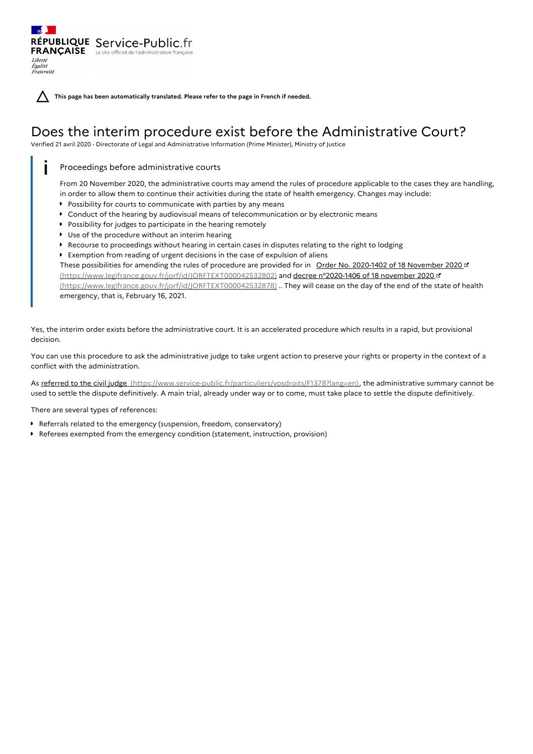**This page has been automatically translated. Please refer to the page in French if needed.**

## Does the interim procedure exist before the Administrative Court?

Verified 21 avril 2020 - Directorate of Legal and Administrative Information (Prime Minister), Ministry of Justice

Proceedings before administrative courts

RÉPUBLIQUE Service-Public.fr **FRANÇAISE** Le site officiel de l'administration franç

Liberté Égalité<br>Fraternité

> From 20 November 2020, the administrative courts may amend the rules of procedure applicable to the cases they are handling, in order to allow them to continue their activities during the state of health emergency. Changes may include:

- **Possibility for courts to communicate with parties by any means**
- Conduct of the hearing by audiovisual means of telecommunication or by electronic means
- **Possibility for judges to participate in the hearing remotely**
- Use of the procedure without an interim hearing
- **P** Recourse to proceedings without hearing in certain cases in disputes relating to the right to lodging
- Exemption from reading of urgent decisions in the case of expulsion of aliens

These possibilities for amending the rules of procedure are provided for in Order No. 2020-1402 of 18 November 2020 at [\(https://www.legifrance.gouv.fr/jorf/id/JORFTEXT000042532802\)](https://www.legifrance.gouv.fr/jorf/id/JORFTEXT000042532878) and decree n°2020-1406 of 18 november 2020 (https://www.legifrance.gouv.fr/jorf/id/JORFTEXT000042532878) .. They will cease on the day of the end of the state of health emergency, that is, February 16, 2021.

Yes, the interim order exists before the administrative court. It is an accelerated procedure which results in a rapid, but provisional decision.

You can use this procedure to ask the administrative judge to take urgent action to preserve your rights or property in the context of a conflict with the administration.

As referred to the civil judge [\(https://www.service-public.fr/particuliers/vosdroits/F1378?lang=en\)](https://www.service-public.fr/particuliers/vosdroits/F1378?lang=en), the administrative summary cannot be used to settle the dispute definitively. A main trial, already under way or to come, must take place to settle the dispute definitively.

There are several types of references:

- Referrals related to the emergency (suspension, freedom, conservatory)
- Referees exempted from the emergency condition (statement, instruction, provision)